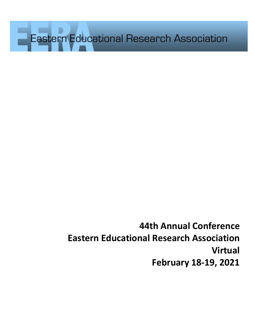**Eastern Educational Research Association** 

**44th Annual Conference Eastern Educational Research Association Virtual February 18-19, 2021**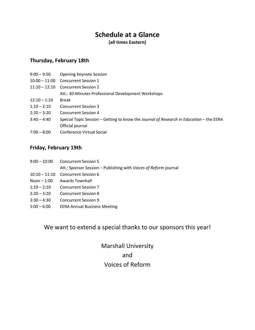# **Schedule at a Glance**

**(all times Eastern)**

# **Thursday, February 18th**

| <b>Opening Keynote Session</b>                                                          |
|-----------------------------------------------------------------------------------------|
| 10:00 - 11:00 Concurrent Session 1                                                      |
| <b>Concurrent Session 2</b>                                                             |
| Att.: 30-Minutes Professional Development Workshops                                     |
| <b>Break</b>                                                                            |
| <b>Concurrent Session 3</b>                                                             |
| Concurrent Session 4                                                                    |
| Special Topic Session – Getting to know the Journal of Research in Education – the EERA |
| Official journal                                                                        |
| Conference Virtual Social                                                               |
|                                                                                         |

# **Friday, February 19th**

| $9:00-10:00$  | <b>Concurrent Session 5</b>                                      |
|---------------|------------------------------------------------------------------|
|               | Att.: Sponsor Session – Publishing with Voices of Reform journal |
| $10:10-11:10$ | Concurrent Session 6                                             |
| Noon $-1:00$  | Awards Townhall                                                  |
| $1:10 - 2:10$ | <b>Concurrent Session 7</b>                                      |
| $2:20 - 3:20$ | <b>Concurrent Session 8</b>                                      |
| $3:30 - 4:30$ | Concurrent Session 9                                             |
| $5:00 - 6:00$ | <b>EERA Annual Business Meeting</b>                              |
|               |                                                                  |

# We want to extend a special thanks to our sponsors this year!

Marshall University and Voices of Reform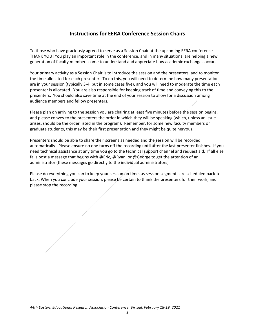# **Instructions for EERA Conference Session Chairs**

To those who have graciously agreed to serve as a Session Chair at the upcoming EERA conference-THANK YOU! You play an important role in the conference, and in many situations, are helping a new generation of faculty members come to understand and appreciate how academic exchanges occur.

Your primary activity as a Session Chair is to introduce the session and the presenters, and to monitor the time allocated for each presenter. To do this, you will need to determine how many presentations are in your session (typically 3-4, but in some cases five), and you will need to moderate the time each presenter is allocated. You are also responsible for keeping track of time and conveying this to the presenters. You should also save time at the end of your session to allow for a discussion among audience members and fellow presenters.

Please plan on arriving to the session you are chairing at least five minutes before the session begins, and please convey to the presenters the order in which they will be speaking (which, unless an issue arises, should be the order listed in the program). Remember, for some new faculty members or graduate students, this may be their first presentation and they might be quite nervous.

Presenters should be able to share their screens as needed and the session will be recorded automatically. Please ensure no one turns off the recording until after the last presenter finishes. If you need technical assistance at any time you go to the technical support channel and request aid. If all else fails post a message that begins with @Eric, @Ryan, or @George to get the attention of an administrator (these messages go directly to the individual administrators)

Please do everything you can to keep your session on time, as session segments are scheduled back-toback. When you conclude your session, please be certain to thank the presenters for their work, and please stop the recording.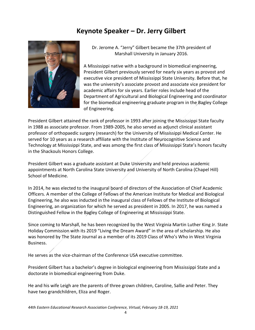# **Keynote Speaker – Dr. Jerry Gilbert**



Dr. Jerome A. "Jerry" Gilbert became the 37th president of Marshall University in January 2016.

A Mississippi native with a background in biomedical engineering, President Gilbert previously served for nearly six years as provost and executive vice president of Mississippi State University. Before that, he was the university's associate provost and associate vice president for academic affairs for six years. Earlier roles include head of the Department of Agricultural and Biological Engineering and coordinator for the biomedical engineering graduate program in the Bagley College of Engineering.

President Gilbert attained the rank of professor in 1993 after joining the Mississippi State faculty in 1988 as associate professor. From 1989-2005, he also served as adjunct clinical assistant professor of orthopaedic surgery (research) for the University of Mississippi Medical Center. He served for 10 years as a research affiliate with the Institute of Neurocognitive Science and Technology at Mississippi State, and was among the first class of Mississippi State's honors faculty in the Shackouls Honors College.

President Gilbert was a graduate assistant at Duke University and held previous academic appointments at North Carolina State University and University of North Carolina (Chapel Hill) School of Medicine.

In 2014, he was elected to the inaugural board of directors of the Association of Chief Academic Officers. A member of the College of Fellows of the American Institute for Medical and Biological Engineering, he also was inducted in the inaugural class of Fellows of the Institute of Biological Engineering, an organization for which he served as president in 2005. In 2017, he was named a Distinguished Fellow in the Bagley College of Engineering at Mississippi State.

Since coming to Marshall, he has been recognized by the West Virginia Martin Luther King Jr. State Holiday Commission with its 2019 "Living the Dream Award" in the area of scholarship. He also was honored by The State Journal as a member of its 2019 Class of Who's Who in West Virginia Business.

He serves as the vice-chairman of the Conference USA executive committee.

President Gilbert has a bachelor's degree in biological engineering from Mississippi State and a doctorate in biomedical engineering from Duke.

He and his wife Leigh are the parents of three grown children, Caroline, Sallie and Peter. They have two grandchildren, Eliza and Roger.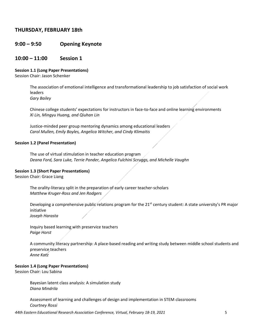# **THURSDAY, FEBRUARY 18th**

# **9:00 – 9:50 Opening Keynote**

# **10:00 – 11:00 Session 1**

#### **Session 1.1 (Long Paper Presentations)**

Session Chair: Jason Schenker

The association of emotional intelligence and transformational leadership to job satisfaction of social work leaders

*Gary Bailey*

Chinese college students' expectations for instructors in face-to-face and online learning environments *Xi Lin, Mingyu Huang, and Qiuhan Lin*

Justice-minded peer group mentoring dynamics among educational leaders *Carol Mullen, Emily Boyles, Angelica Witcher, and Cindy Klimaitis* 

#### **Session 1.2 (Panel Presentation)**

The use of virtual stimulation in teacher education program *Deana Ford, Sara Luke, Terrie Ponder, Angelica Fulchini Scruggs, and Michelle Vaughn* 

# **Session 1.3 (Short Paper Presentations)**

Session Chair: Grace Liang

The orality-literacy split in the preparation of early career teacher-scholars *Matthew Kruger-Ross and Jen Rodgers* 

Developing a comprehensive public relations program for the  $21^{st}$  century student: A state university's PR major initiative

*Joseph Harasta*

Inquiry based learning with preservice teachers *Paige Horst* 

A community literacy partnership: A place-based reading and writing study between middle school students and preservice teachers *Anne Katz* 

# **Session 1.4 (Long Paper Presentations)**

Session Chair: Lou Sabina

Bayesian latent class analysis: A simulation study *Diana Mindrila* 

Assessment of learning and challenges of design and implementation in STEM classrooms *Courtney Rossi*

*44th Eastern Educational Research Association Conference, Virtual, February 18-19, 2021* 5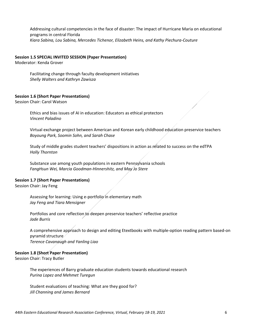Addressing cultural competencies in the face of disaster: The impact of Hurricane Maria on educational programs in central Florida *Kiara Sabina, Lou Sabina, Mercedes Tichenor, Elizabeth Heins, and Kathy Piechura-Couture* 

#### **Session 1.5 SPECIAL INVITED SESSION (Paper Presentation)**

Moderator: Kenda Grover

Facilitating change through faculty development initiatives *Shelly Walters and Kathryn Zawisza*

#### **Session 1.6 (Short Paper Presentations)**

Session Chair: Carol Watson

Ethics and bias issues of AI in education: Educators as ethical protectors *Vincent Paladino* 

Virtual exchange project between American and Korean early childhood education preservice teachers *Boyoung Park, Soomin Sohn, and Sarah Chase* 

Study of middle grades student teachers' dispositions in action as related to success on the edTPA *Holly Thornton* 

Substance use among youth populations in eastern Pennsylvania schools *FangHsun Wei, Marcia Goodman-Hinnershitz, and May Jo Stere* 

#### **Session 1.7 (Short Paper Presentations)**

Session Chair: Jay Feng

Assessing for learning: Using e-portfolio in elementary math *Jay Feng and Tiara Mensigner*

Portfolios and core reflection to deepen preservice teachers' reflective practice *Jade Burris* 

A comprehensive approach to design and editing Etextbooks with multiple-option reading pattern based-on pyramid structure *Terence Cavanaugh and Yanling Liao* 

#### **Session 1.8 (Short Paper Presentation)**

Session Chair: Tracy Butler

The experiences of Barry graduate education students towards educational research *Purina Lopez and Mehmet Turegun* 

Student evaluations of teaching: What are they good for? *Jill Channing and James Bernard*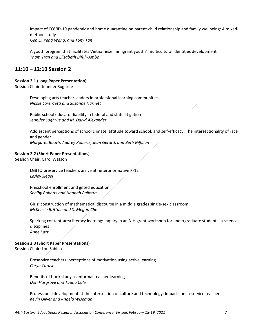Impact of COVID-19 pandemic and home quarantine on parent-child relationship and family wellbeing: A mixedmethod study *Gen Li, Peng Wang, and Tony Tan*

A youth program that facilitates Vietnamese immigrant youths' multicultural identities development *Tham Tran and Elizabeth Bifuh-Ambe* 

# **11:10 – 12:10 Session 2**

# **Session 2.1 (Long Paper Presentation)**

Session Chair: Jennifer Sughrue

Developing arts teacher leaders in professional learning communities *Nicole Lorenzetti and Susanne Harnett*

Public school educator liability in federal and state litigation *Jennifer Sughrue and M. Daivd Alexander* 

Adolescent perceptions of school climate, attitude toward school, and self-efficacy: The intersectionality of race and gender *Margaret Booth, Audrey Roberts, Jean Gerard, and Beth Gilfillan* 

# **Session 2.2 (Short Paper Presentations)**

Session Chair: Carol Watson

LGBTQ preservice teachers arrive at heteronormative K-12 *Lesley Siegel*

Preschool enrollment and gifted education *Shelby Roberts and Hannah Pallotta* 

Girls' construction of mathematical discourse in a middle grades single-sex classroom *McKenzie Brittain and S. Megan Che* 

Sparking content-area literacy learning: Inquiry in an NIH grant workshop for undergraduate students in science disciplines *Anne Katz*

# **Session 2.3 (Short Paper Presentations)**

Session Chair: Lou Sabina

Preservice teachers' perceptions of motivation using active learning *Caryn Caruso* 

Benefits of book study as informal teacher learning *Dori Hargrove and Tauna Cole* 

Professional development at the intersection of culture and technology: Impacts on in-service teachers *Kevin Oliver and Angela Wiseman*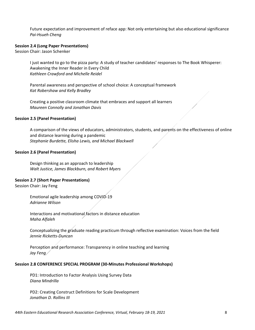Future expectation and improvement of reface app: Not only entertaining but also educational significance *Pai-Hsueh Cheng*

#### **Session 2.4 (Long Paper Presentations)**

Session Chair: Jason Schenker

I just wanted to go to the pizza party: A study of teacher candidates' responses to The Book Whisperer: Awakening the Inner Reader in Every Child *Kathleen Crawford and Michelle Reidel*

Parental awareness and perspective of school choice: A conceptual framework *Kat Robershaw and Kelly Bradley* 

Creating a positive classroom climate that embraces and support all learners *Maureen Connolly and Jonathan Davis*

#### **Session 2.5 (Panel Presentation)**

A comparison of the views of educators, administrators, students, and parents on the effectiveness of online and distance learning during a pandemic *Stephanie Burdette, Elisha Lewis, and Michael Blackwell* 

#### **Session 2.6 (Panel Presentation)**

Design thinking as an approach to leadership *Walt Justice, James Blackburn, and Robert Myers* 

#### **Session 2.7 (Short Paper Presentations)**

Session Chair: Jay Feng

Emotional agile leadership among COVID-19 *Adrianne Wilson* 

Interactions and motivational factors in distance education *Maha Alfaleh* 

Conceptualizing the graduate reading practicum through reflective examination: Voices from the field *Jennie Ricketts-Duncan*

Perception and performance: Transparency in online teaching and learning *Jay Feng* 

#### **Session 2.8 CONFERENCE SPECIAL PROGRAM (30-Minutes Professional Workshops)**

PD1: Introduction to Factor Analysis Using Survey Data *Diana Mindrilla* 

PD2: Creating Construct Definitions for Scale Development *Jonathan D. Rollins III*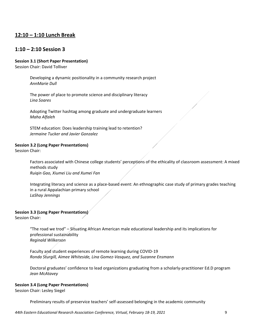# **12:10 – 1:10 Lunch Break**

# **1:10 – 2:10 Session 3**

# **Session 3.1 (Short Paper Presentation)**

Session Chair: David Tolliver

Developing a dynamic positionality in a community research project *AnnMarie Dull* 

The power of place to promote science and disciplinary literacy *Lina Soares* 

Adopting Twitter hashtag among graduate and undergraduate learners *Maha Alfaleh* 

STEM education: Does leadership training lead to retention? *Jermaine Tucker and Javier Gonzalez* 

# **Session 3.2 (Long Paper Presentations)**

Session Chair:

Factors associated with Chinese college students' perceptions of the ethicality of classroom assessment: A mixed methods study *Ruiqin Gao, Xiumei Liu and Xumei Fan* 

Integrating literacy and science as a place-based event: An ethnographic case study of primary grades teaching in a rural Appalachian primary school *LaShay Jennings*

# **Session 3.3 (Long Paper Presentations)**

Session Chair:

"The road we trod" – Situating African American male educational leadership and its implications for professional sustainability *Reginald Wilkerson*

Faculty and student experiences of remote learning during COVID-19 *Ronda Sturgill, Aimee Whiteside, Lina Gomez-Vasquez, and Suzanne Ensmann* 

Doctoral graduates' confidence to lead organizations graduating from a scholarly-practitioner Ed.D program *Jean McAtavey*

# **Session 3.4 (Long Paper Presentations)**

Session Chair: Lesley Siegel

Preliminary results of preservice teachers' self-assessed belonging in the academic community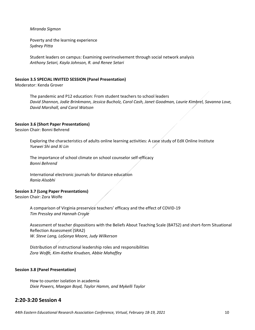*Miranda Sigmon*

Poverty and the learning experience *Sydney Pitta* 

Student leaders on campus: Examining overinvolvement through social network analysis *Anthony Setari, Kayla Johnson, R. and Renee Setari* 

#### **Session 3.5 SPECIAL INVITED SESSION (Panel Presentation)**

Moderator: Kenda Grover

The pandemic and P12 education: From student teachers to school leaders *David Shannon, Jodie Brinkmann, Jessica Bucholz, Carol Cash, Janet Goodman, Laurie Kimbrel, Savanna Love, David Marshall, and Carol Watson* 

#### **Session 3.6 (Short Paper Presentations)**

Session Chair: Bonni Behrend

Exploring the characteristics of adults online learning activities: A case study of EdX Online Institute *Yuewei Shi and Xi Lin* 

The importance of school climate on school counselor self-efficacy *Bonni Behrend*

International electronic journals for distance education *Rania Alsobhi*

#### **Session 3.7 (Long Paper Presentations)**

Session Chair: Zora Wolfe

A comparison of Virginia preservice teachers' efficacy and the effect of COVID-19 *Tim Pressley and Hannah Croyle* 

Assessment of teacher dispositions with the Beliefs About Teaching Scale (BATS2) and short-form Situational Reflection Assessment (SRA2) *W. Steve Lang, LaSonya Moore, Judy Wilkerson*

Distribution of instructional leadership roles and responsibilities *Zora Wolfe, Kim-Kathie Knudsen, Abbie Mahaffey* 

#### **Session 3.8 (Panel Presentation)**

How to counter isolation in academia *Dixie Powers, Maegan Boyd, Taylor Hamm, and Mykelli Taylor* 

# **2:20-3:20 Session 4**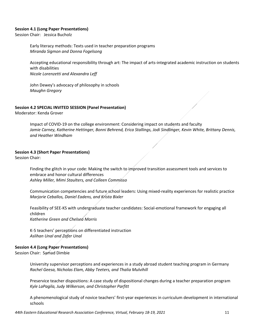#### **Session 4.1 (Long Paper Presentations)**

Session Chair: Jessica Bucholz

Early literacy methods: Texts used in teacher preparation programs *Miranda Sigmon and Donna Fogelsong*

Accepting educational responsibility through art: The impact of arts-integrated academic instruction on students with disabilities *Nicole Lorenzetti and Alexandra Leff*

John Dewey's advocacy of philosophy in schools *Maughn Gregory*

# **Session 4.2 SPECIAL INVITED SESSION (Panel Presentation)**

Moderator: Kenda Grover

Impact of COVID-19 on the college environment: Considering impact on students and faculty *Jamie Carney, Katherine Hettinger, Bonni Behrend, Erica Stallings, Jodi Sindlinger, Kevin White, Brittany Dennis, and Heather Windham* 

#### **Session 4.3 (Short Paper Presentations)**

Session Chair:

Finding the glitch in your code: Making the switch to improved transition assessment tools and services to embrace and honor cultural differences *Ashley Miller, Mimi Staulters, and Colleen Commisso*

Communication competencies and future school leaders: Using mixed-reality experiences for realistic practice *Marjorie Ceballos, Daniel Eadens, and Krista Bixler*

Feasibility of SEE-KS with undergraduate teacher candidates: Social-emotional framework for engaging all children *Katherine Green and Chelsea Morris*

K-5 teachers' perceptions on differentiated instruction *Aslihan Unal and Zafer Unal* 

# **Session 4.4 (Long Paper Presentations)**

Session Chair: Samad Dimbie

University supervisor perceptions and experiences in a study abroad student teaching program in Germany *Rachel Geesa, Nicholas Elam, Abby Teeters, and Thalia Mulvihill* 

Preservice teacher dispositions: A case study of dispositional changes during a teacher preparation program *Kyle LaPagila, Judy Wilkerson, and Christopher Parfitt*

A phenomenological study of novice teachers' first-year experiences in curriculum development in international schools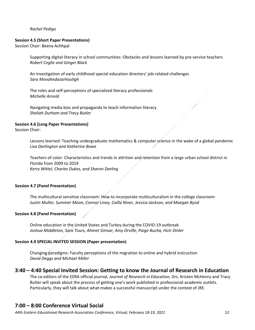#### *Rachel Pedigo*

#### **Session 4.5 (Short Paper Presentations)**

Session Chair: Beena Achhpal

Supporting digital literacy in school communities: Obstacles and lessons learned by pre-service teachers *Robert Ceglie and Ginger Black*

An investigation of early childhood special education directors' job-related challenges *Sara Movahedazarhouligh*

The roles and self-perceptions of specialized literacy professionals *Michelle Arnold* 

Navigating media bias and propaganda to teach information literacy *Sheliah Durham and Tracy Butler*

# **Session 4.6 (Long Paper Presentations)**

Session Chair:

Lessons learned: Teaching undergraduate mathematics & computer science in the wake of a global pandemic *Lisa Darlington and Katherine Bowe* 

Teachers of color: Characteristics and trends in attrition and retention from a large urban school district in Florida from 2009 to 2019 *Kerry Wittel, Charles Dukes, and Sharon Darling* 

# **Session 4.7 (Panel Presentation)**

The multicultural sensitive classroom: How to incorporate multiculturalism in the college classroom *Justin Muller, Summer Moon, Connor Liney, Cailla Niner, Jessica Jackson, and Maegan Byod*

# **Session 4.8 (Panel Presentation)**

Online education in the United States and Turkey during the COVID-19 outbreak *Joshua Middleton, Sara Tours, Ahmet Simsar, Amy Orville, Paige Bucha, Hizir Dinler* 

# **Session 4.9 SPECIAL INVITED SESSION (Paper presentation)**

Changing paradigms: Faculty perceptions of the migration to online and hybrid instruction *David Deggs and Michael Miller*

# **3:40 – 4:40 Special Invited Session: Getting to know the Journal of Research in Education**

The co-editors of the EERA official journal, *Journal of Research in Education*, Drs. Kristen McHenry and Tracy Butler will speak about the process of getting one's work published in professional-academic outlets. Particularly, they will talk about what makes a successful manuscript under the context of JRE.

# **7:00 – 8:00 Conference Virtual Social**

*44th Eastern Educational Research Association Conference, Virtual, February 18-19, 2021* 12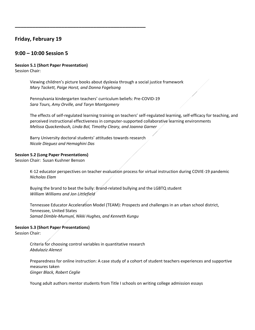# **Friday, February 19**

# **9:00 – 10:00 Session 5**

# **Session 5.1 (Short Paper Presentation)**

Session Chair:

Viewing children's picture books about dyslexia through a social justice framework *Mary Tackett, Paige Horst, and Donna Fogelsong*

Pennsylvania kindergarten teachers' curriculum beliefs: Pre-COVID-19 *Sara Tours, Amy Orville, and Taryn Montgomery* 

**\_\_\_\_\_\_\_\_\_\_\_\_\_\_\_\_\_\_\_\_\_\_\_\_\_\_\_\_\_\_\_\_\_\_\_\_\_\_\_\_\_\_\_\_\_**

The effects of self-regulated learning training on teachers' self-regulated learning, self-efficacy for teaching, and perceived instructional effectiveness in computer-supported collaborative learning environments *Melissa Quackenbush, Linda Bol, Timothy Cleary, and Joanna Garner*

Barry University doctoral students' attitudes towards research *Nicole Dieguez and Hemaghini Das* 

#### **Session 5.2 (Long Paper Presentations)**

Session Chair: Susan Kushner Benson

K-12 educator perspectives on teacher evaluation process for virtual instruction during COVIE-19 pandemic *Nicholas Elam*

Buying the brand to beat the bully: Brand-related bullying and the LGBTQ student *William Williams and Jon Littlefield* 

Tennessee Educator Acceleration Model (TEAM): Prospects and challenges in an urban school district, Tennessee, United States *Samad Dimble-Mumuni, Nikki Hughes, and Kenneth Kungu* 

# **Session 5.3 (Short Paper Presentations)**

Session Chair:

Criteria for choosing control variables in quantitative research *Abdulaziz Alenezi*

Preparedness for online instruction: A case study of a cohort of student teachers experiences and supportive measures taken *Ginger Black, Robert Ceglie* 

Young adult authors mentor students from Title I schools on writing college admission essays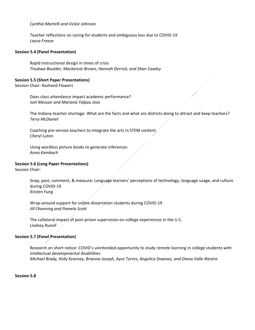#### *Cynthia Martelli and Vickie Johnson*

Teacher reflections on caring for students and ambiguous loss due to COVID-19 *Laura Freeze*

#### **Session 5.4 (Panel Presentation)**

Rapid instructional design in times of crisis *Tinukwa Boulder, Mackenzie Brown, Hannah Derrick, and Shan Cawley* 

#### **Session 5.5 (Short Paper Presentations)**

Session Chair: Rasheed Flowers

Does class attendance impact academic performance? *Joel Messan and Mariana Talpau Joos* 

The Indiana teacher shortage: What are the facts and what are districts doing to attract and keep teachers? *Terry McDaniel*

Coaching pre-service teachers to integrate the arts in STEM content *Cheryl Luton* 

Using wordless picture books to generate inferences *Anna Kambach*

#### **Session 5.6 (Long Paper Presentations)**

Session Chair:

Snap, post, comment, & measure: Language learners' perceptions of technology, language usage, and culture during COVID-19 *Kristen Fung*

Wrap-around support for online dissertation students during COVID-19 *Jill Channing and Pamela Scott* 

The collateral impact of post-prison supervision on college experiences in the U.S. *Lindsey Runell*

# **Session 5.7 (Panel Presentation)**

Research on short notice: COVID's unintended opportunity to study remote learning in college students with intellectual developmental disabilities *Michael Brady, Kelly Kearney, Brianna Joseph, Ayse Torres, Angelica Downey, and Diana Valle-Riestra*

#### **Session 5.8**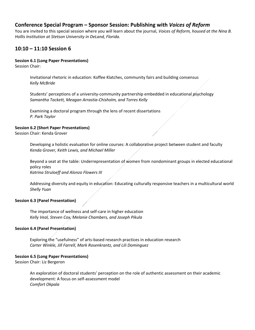# **Conference Special Program – Sponsor Session: Publishing with** *Voices of Reform*

You are invited to this special session where you will learn about the journal, *Voices of Reform, housed at the Nina B. Hollis Institution at Stetson University in DeLand, Florida.*

# **10:10 – 11:10 Session 6**

# **Session 6.1 (Long Paper Presentations)**

Session Chair:

Invitational rhetoric in education: Koffee Klatches, community fairs and building consensus *Kelly McBride*

Students' perceptions of a university-community partnership embedded in educational psychology *Samantha Tackett, Meagan Arrastia-Chisholm, and Torres Kelly* 

Examining a doctoral program through the lens of recent dissertations *P. Park Taylor*

# **Session 6.2 (Short Paper Presentations)**

Session Chair: Kenda Grover

Developing a holistic evaluation for online courses: A collaborative project between student and faculty *Kenda Grover, Keith Lewis, and Michael Miller* 

Beyond a seat at the table: Underrepresentation of women from nondominant groups in elected educational policy roles *Katrina Struloeff and Alonzo Flowers III*

Addressing diversity and equity in education: Educating culturally responsive teachers in a multicultural world *Shelly Yuan*

# **Session 6.3 (Panel Presentation)**

The importance of wellness and self-care in higher education *Kelly Veal, Steven Cox, Melanie Chambers, and Joseph Pikula*

# **Session 6.4 (Panel Presentation)**

Exploring the "usefulness" of arts-based research practices in education research *Carter Winkle, Jill Farrell, Mark Rosenkrantz, and Lili Dominguez* 

# **Session 6.5 (Long Paper Presentations)**

Session Chair: Liz Bergeron

An exploration of doctoral students' perception on the role of authentic assessment on their academic development: A focus on self-assessment model *Comfort Okpala*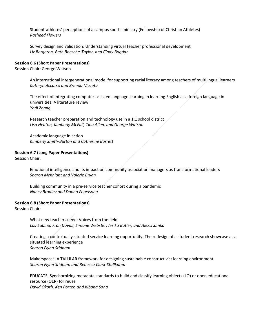Student-athletes' perceptions of a campus sports ministry (Fellowship of Christian Athletes) *Rasheed Flowers*

Survey design and validation: Understanding virtual teacher professional development *Liz Bergeron, Beth Boesche-Taylor, and Cindy Bogdan*

#### **Session 6.6 (Short Paper Presentations)**

Session Chair: George Watson

An international intergenerational model for supporting racial literacy among teachers of multilingual learners *Kathryn Accurso and Brenda Muzeta*

The effect of integrating computer-assisted language learning in learning English as a foreign language in universities: A literature review *Yadi Zhang*

Research teacher preparation and technology use in a 1:1 school district *Lisa Heaton, Kimberly McFall, Tina Allen, and George Watson* 

Academic language in action *Kimberly Smith-Burton and Catherine Barrett*

#### **Session 6.7 (Long Paper Presentations)**

Session Chair:

Emotional intelligence and its impact on community association managers as transformational leaders *Sharon McKnight and Valerie Bryan*

Building community in a pre-service teacher cohort during a pandemic *Nancy Bradley and Donna Fogelsong* 

#### **Session 6.8 (Short Paper Presentations)**

Session Chair:

What new teachers need: Voices from the field *Lou Sabina, Fran Duvall, Simone Webster, Jesika Butler, and Alexis Simko* 

Creating a contextually situated service learning opportunity: The redesign of a student research showcase as a situated learning experience *Sharon Flynn Stidham*

Makerspaces: A TALULAR framework for designing sustainable constructivist learning environment *Sharon Flynn Stidham and Rebecca Clark-Stallkamp*

EDUCATE: Synchornizing metadata standards to build and classify learning objects (LO) or open educational resource (OER) for reuse *David Okoth, Ken Porter, and Kibong Song*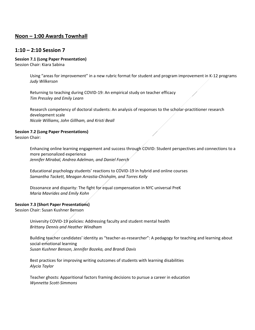# **Noon – 1:00 Awards Townhall**

# **1:10 – 2:10 Session 7**

# **Session 7.1 (Long Paper Presentation)**

Session Chair: Kiara Sabina

Using "areas for improvement" in a new rubric format for student and program improvement in K-12 programs *Judy Wilkerson*

Returning to teaching during COVID-19: An empirical study on teacher efficacy *Tim Pressley and Emily Learn* 

Research competency of doctoral students: An analysis of responses to the scholar-practitioner research development scale *Nicole Williams, John Gillham, and Kristi Beall*

# **Session 7.2 (Long Paper Presentations)**

Session Chair:

Enhancing online learning engagement and success through COVID: Student perspectives and connections to a more personalized experience *Jennifer Mirabal, Andrea Adelman, and Daniel Foerch* 

Educational psychology students' reactions to COVID-19 in hybrid and online courses *Samantha Tackett, Meagan Arrastia-Chisholm, and Torres Kelly*

Dissonance and disparity: The fight for equal compensation in NYC universal PreK *Maria Mavrides and Emily Kohn*

# **Session 7.3 (Short Paper Presentations)**

Session Chair: Susan Kushner Benson

University COVID-19 policies: Addressing faculty and student mental health *Brittany Dennis and Heather Windham*

Building teacher candidates' identity as "teacher-as-researcher": A pedagogy for teaching and learning about social-emotional learning *Susan Kushner Benson, Jennifer Bozeka, and Brandi Davis*

Best practices for improving writing outcomes of students with learning disabilities *Alycia Taylor*

Teacher ghosts: Apparitional factors framing decisions to pursue a career in education *Wynnetta Scott-Simmons*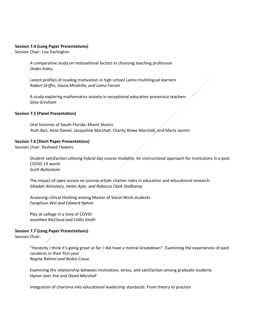#### **Session 7.4 (Long Paper Presentations)**

Session Chair: Lisa Darlington

A comparative study on motivational factors in choosing teaching profession *Onder Koklu*

Latent profiles of reading motivation in high school Latinx multilingual learners *Robert Griffin, Diana Mindrilla, and Lama Farran*

A study exploring mathematics anxiety in exceptional education preservice teachers *Gina Gresham*

#### **Session 7.5 (Panel Presentation)**

Oral histories of South Florida: Miami Shores Ruth Ban, Anse Daniel, Jacqueline Marshall, Charity Rowe-Marshall, and Marie Jasmin

#### **Session 7.6 (Short Paper Presentations)**

Session Chair: Rasheed Flowers

Student satisfaction utilizing hybrid day course modality: An instructional approach for institutions in a post COVID-19 world *Scott Ballantyne*

The impact of open access on journal article citation rates in education and educational research *Ghadah Almutairy, Helen Ajao, and Rebecca Clark-Stallkamp* 

Assessing critical thinking among Master of Social Work students *FangHsun Wei and Edward Hanna* 

Play at college in a time of COVID *Jonathan McCloud and Collin Smith*

#### **Session 7.7 (Long Paper Presentations)**

Session Chair:

"Honestly I think it's going great so far; I did have a mental breakdown": Examining the experiences of paid residents in their first year *Regina Rahimi and Nedra Cossa* 

Examining the relationship between motivation, stress, and satisfaction among graduate students *Hyeon Jean Yoo and David Marshall*

Integration of charisma into educational leadership standards: From theory to practice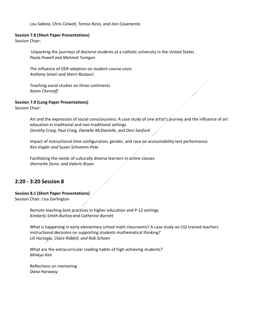#### **Session 7.8 (Short Paper Presentations)**

Session Chair:

Unpacking the journeys of doctoral students at a catholic university in the United States *Paula Powell and Mehmet Turegun*

The influence of OER adoption on student course costs *Anthony Setari and Sherri Restauri* 

Teaching social studies on three continents *Karen Chernoff*

#### **Session 7.9 (Long Paper Presentations)**

Session Chair:

Art and the expression of social consciousness: A case study of one artist's journey and the influence of art education in traditional and non-traditional settings *Dorothy Craig, Paul Craig, Danielle McDanielle, and Devi Sanford* 

Impact of instructional time configuration, gender, and race on accountability test performance *Ken Vogler and Susan Schramm-Pate* 

Facilitating the needs of culturally diverse learners in online classes *Shernette Dunn, and Valerie Bryan*

# **2:20 - 3:20 Session 8**

**Session 8.1 (Short Paper Presentations)**

Session Chair: Lisa Darlington

Remote teaching best practices in higher education and P-12 settings *Kimberly Smith-Burton and Catherine Barrett* 

What is happening in early elementary school math classrooms? A case study on CGI trained teachers instructional decisions on supporting students mathematical thinking? *Lili Hurioglu, Claire Riddell, and Rob Schoen*

What are the extracurricular reading habits of high-achieving students? *Minkyu Kim*

Reflections on mentoring *Dana Haraway*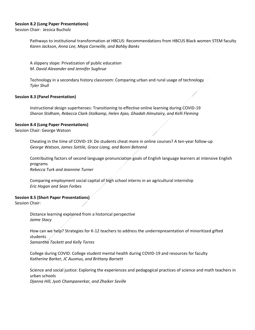### **Session 8.2 (Long Paper Presentations)**

Session Chair: Jessica Bucholz

Pathways to institutional transformation at HBCUS: Recommendations from HBCUS Black women STEM faculty *Karen Jackson, Anna Lee, Maya Corneille, and Bahby Banks* 

A slippery slope: Privatization of public education *M. David Alexander and Jennifer Sughrue*

Technology in a secondary history classroom: Comparing urban and rural usage of technology *Tyler Shull*

#### **Session 8.3 (Panel Presentation)**

Instructional design superheroes: Transitioning to effective online learning during COVID-19 *Sharon Stidham, Rebecca Clark-Stalkamp, Helen Ajao, Ghadah Almutairy, and Kelli Fleming* 

#### **Session 8.4 (Long Paper Presentations)**

Session Chair: George Watson

Cheating in the time of COVID-19: Do students cheat more in online courses? A ten-year follow-up *George Watson, James Sottile, Grace Liang, and Bonni Behrend* 

Contributing factors of second language pronunciation goals of English language learners at intensive English programs *Rebecca Turk and Jeannine Turner* 

Comparing employment social capital of high school interns in an agricultural internship *Eric Hogan and Sean Forbes* 

# **Session 8.5 (Short Paper Presentations)**

Session Chair:

Distance learning explained from a historical perspective *Jaime Stacy*

How can we help? Strategies for K-12 teachers to address the underrepresentation of minoritized gifted students *Samantha Tackett and Kelly Torres* 

College during COVID: College student mental health during COVID-19 and resources for faculty *Katherine Barker, JC Ausmus, and Brittany Barnett*

Science and social justice: Exploring the experiences and pedagogical practices of science and math teachers in urban schools

*Djanna Hill, Jyoti Champanerkar, and Zhaiker Seville*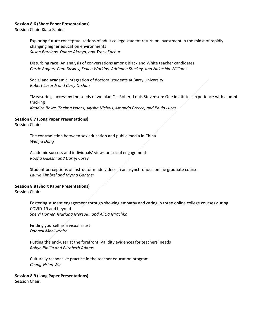#### **Session 8.6 (Short Paper Presentations)**

Session Chair: Kiara Sabina

Exploring future conceptualizations of adult college student return on investment in the midst of rapidly changing higher education environments *Susan Barcinas, Duane Akroyd, and Tracy Kachur* 

Disturbing race: An analysis of conversations among Black and White teacher candidates *Carrie Rogers, Pam Buskey, Kellee Watkins, Adrienne Stuckey, and Nakeshia Williams* 

Social and academic integration of doctoral students at Barry University *Robert Lusardi and Carly Orshan*

"Measuring success by the seeds of we plant" – Robert Louis Stevenson: One institute's experience with alumni tracking *Kandice Rowe, Thelma Isaacs, Alysha Nichols, Amanda Preece, and Paula Lucas* 

#### **Session 8.7 (Long Paper Presentations)**

Session Chair:

The contradiction between sex education and public media in China *Wenjia Dong*

Academic success and individuals' views on social engagement *Roofia Galeshi and Darryl Corey* 

Student perceptions of instructor made videos in an asynchronous online graduate course *Laurie Kimbrel and Myrna Gantner*

# **Session 8.8 (Short Paper Presentations)**

Session Chair:

Fostering student engagement through showing empathy and caring in three online college courses during COVID-19 and beyond *Sherri Horner, Mariana Mereoiu, and Alicia Mrachko*

Finding yourself as a visual artist *Dannell Macllwraith* 

Putting the end-user at the forefront: Validity evidences for teachers' needs *Robyn Pinilla and Elizabeth Adams*

Culturally responsive practice in the teacher education program *Cheng-Hsien Wu*

# **Session 8.9 (Long Paper Presentations)**

Session Chair: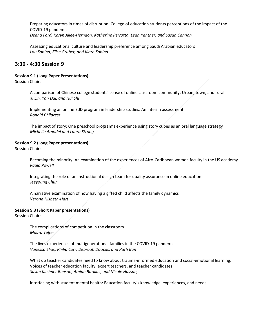Preparing educators in times of disruption: College of education students perceptions of the impact of the COVID-19 pandemic *Deana Ford, Karyn Allee-Herndon, Katherine Perrotta, Leah Panther, and Susan Cannon* 

Assessing educational culture and leadership preference among Saudi Arabian educators *Lou Sabina, Elise Gruber, and Kiara Sabina*

# **3:30 - 4:30 Session 9**

# **Session 9.1 (Long Paper Presentations)**

Session Chair:

A comparison of Chinese college students' sense of online classroom community: Urban, town, and rural *Xi Lin, Yan Dai, and Hui Shi*

Implementing an online EdD program in leadership studies: An interim assessment *Ronald Childress* 

The impact of story: One preschool program's experience using story cubes as an oral language strategy *Michelle Amodei and Laura Strong* 

# **Session 9.2 (Long Paper presentations)**

Session Chair:

Becoming the minority: An examination of the experiences of Afro-Caribbean women faculty in the US academy *Paula Powell* 

Integrating the role of an instructional design team for quality assurance in online education *Jeeyoung Chun*

A narrative examination of how having a gifted child affects the family dynamics *Verona Nisbeth-Hart*

# **Session 9.3 (Short Paper presentations)**

Session Chair:

The complications of competition in the classroom *Maura Telfer*

The lives experiences of multigenerational families in the COVID-19 pandemic *Vanessa Elias, Philip Corr, Debroah Doucas, and Ruth Ban* 

What do teacher candidates need to know about trauma-informed education and social-emotional learning: Voices of teacher education faculty, expert teachers, and teacher candidates *Susan Kushner Benson, Amiah Barillas, and Nicole Hassan,* 

Interfacing with student mental health: Education faculty's knowledge, experiences, and needs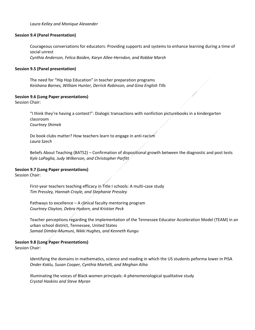*Laura Kelley and Monique Alexander* 

#### **Session 9.4 (Panel Presentation)**

Courageous conversations for educators: Providing supports and systems to enhance learning during a time of social unrest *Cynthia Anderson, Felica Baiden, Karyn Allee-Herndon, and Robbie Marsh*

### **Session 9.5 (Panel presentation)**

The need for "Hip Hop Education" in teacher preparation programs *Keishana Barnes, William Hunter, Derrick Robinson, and Gina English Tills* 

#### **Session 9.6 (Long Paper presentations)**

Session Chair:

"I think they're having a contest!": Dialogic transactions with nonfiction picturebooks in a kindergarten classroom *Courtney Shimek* 

Do book clubs matter? How teachers learn to engage in anti-racism *Laura Szech*

Beliefs About Teaching (BATS2) – Confirmation of dispositional growth between the diagnostic and post tests *Kyle LaPaglia, Judy Wilkerson, and Christopher Parfitt*

#### **Session 9.7 (Long Paper presentations)**

Session Chair:

First-year teachers teaching efficacy in Title I schools: A multi-case study *Tim Pressley, Hannah Croyle, and Stephanie Pressley*

Pathways to excellence – A clinical faculty mentoring program *Courtney Clayton, Debra Hydorn, and Kristian Peck*

Teacher perceptions regarding the implementation of the Tennessee Educator Acceleration Model (TEAM) in an urban school district, Tennessee, United States *Samad Dimbie-Mumuni, Nikki Hughes, and Kenneth Kungu* 

# **Session 9.8 (Long Paper Presentations)**

Session Chair:

Identifying the domains in mathematics, science and reading in which the US students peforma lower in PISA *Onder Koklu, Susan Cooper, Cynthia Martelli, and Meghan Atha*

Illuminating the voices of Black women principals: A phenomenological qualitative study *Crystal Haskins and Steve Myran*